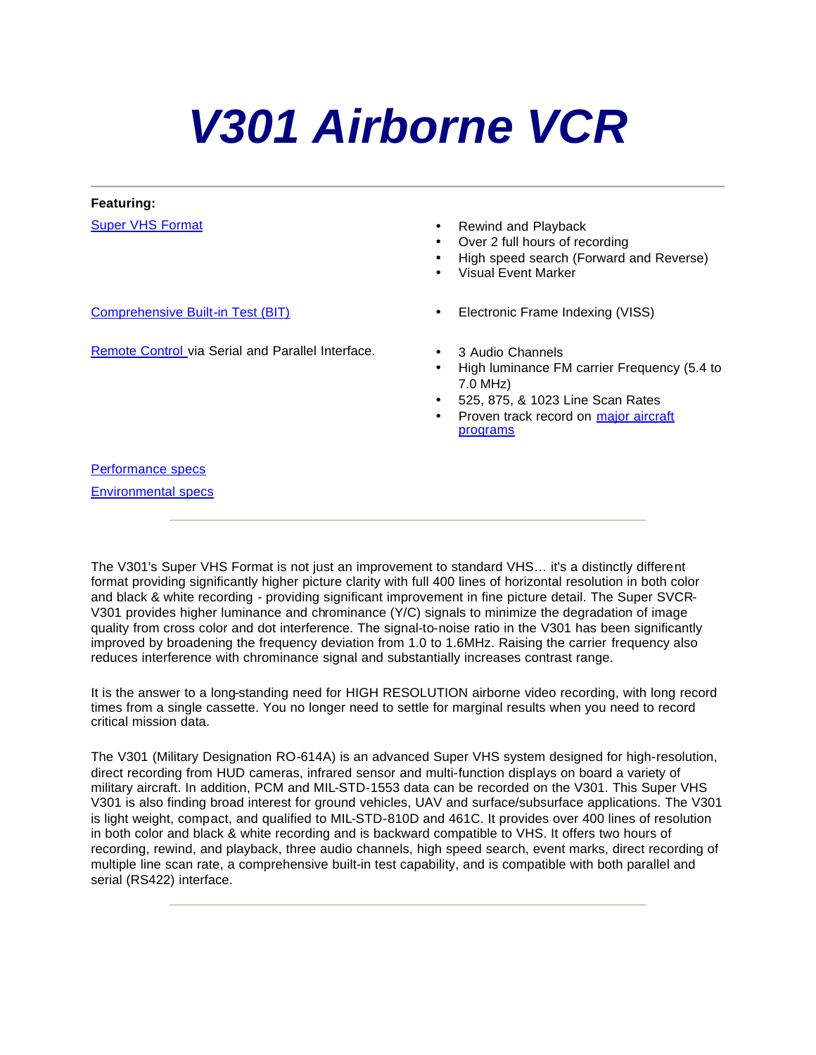# *V301 Airborne VCR*

#### **Featuring:**

- Super VHS Format **Example 2018** Rewind and Playback
	- Over 2 full hours of recording
	- High speed search (Forward and Reverse)
	- Visual Event Marker
- Comprehensive Built-in Test (BIT) Electronic Frame Indexing (VISS)
	- - High luminance FM carrier Frequency (5.4 to 7.0 MHz)
		- 525, 875, & 1023 Line Scan Rates
		- Proven track record on major aircraft programs

Performance specs

Environmental specs

The V301's Super VHS Format is not just an improvement to standard VHS… it's a distinctly different format providing significantly higher picture clarity with full 400 lines of horizontal resolution in both color and black & white recording - providing significant improvement in fine picture detail. The Super SVCR-V301 provides higher luminance and chrominance (Y/C) signals to minimize the degradation of image quality from cross color and dot interference. The signal-to-noise ratio in the V301 has been significantly improved by broadening the frequency deviation from 1.0 to 1.6MHz. Raising the carrier frequency also reduces interference with chrominance signal and substantially increases contrast range.

It is the answer to a long-standing need for HIGH RESOLUTION airborne video recording, with long record times from a single cassette. You no longer need to settle for marginal results when you need to record critical mission data.

The V301 (Military Designation RO-614A) is an advanced Super VHS system designed for high-resolution, direct recording from HUD cameras, infrared sensor and multi-function displays on board a variety of military aircraft. In addition, PCM and MIL-STD-1553 data can be recorded on the V301. This Super VHS V301 is also finding broad interest for ground vehicles, UAV and surface/subsurface applications. The V301 is light weight, compact, and qualified to MIL-STD-810D and 461C. It provides over 400 lines of resolution in both color and black & white recording and is backward compatible to VHS. It offers two hours of recording, rewind, and playback, three audio channels, high speed search, event marks, direct recording of multiple line scan rate, a comprehensive built-in test capability, and is compatible with both parallel and serial (RS422) interface.

Remote Control via Serial and Parallel Interface. • 3 Audio Channels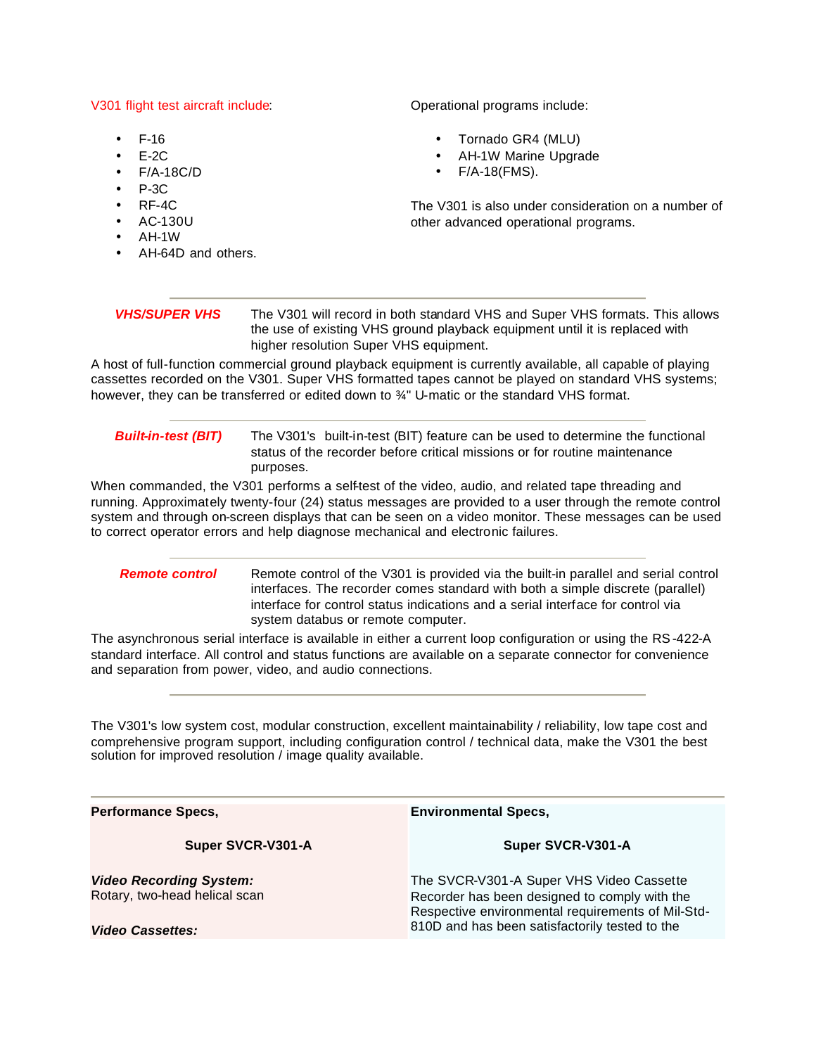#### V301 flight test aircraft include:

- $F-16$
- $E-2C$
- F/A-18C/D
- $P-3C$
- $RF-4C$
- AC-130U
- AH-1W
- AH-64D and others.

Operational programs include:

- Tornado GR4 (MLU)
- AH-1W Marine Upgrade
- F/A-18(FMS).

The V301 is also under consideration on a number of other advanced operational programs.

| <i><b>VHS/SUPER VHS</b></i> | The V301 will record in both standard VHS and Super VHS formats. This allows |
|-----------------------------|------------------------------------------------------------------------------|
|                             | the use of existing VHS ground playback equipment until it is replaced with  |
|                             | higher resolution Super VHS equipment.                                       |

A host of full-function commercial ground playback equipment is currently available, all capable of playing cassettes recorded on the V301. Super VHS formatted tapes cannot be played on standard VHS systems; however, they can be transferred or edited down to <sup>3/4</sup>" U-matic or the standard VHS format.

#### **Built-in-test (BIT)** The V301's built-in-test (BIT) feature can be used to determine the functional status of the recorder before critical missions or for routine maintenance purposes.

When commanded, the V301 performs a self-test of the video, audio, and related tape threading and running. Approximately twenty-four (24) status messages are provided to a user through the remote control system and through on-screen displays that can be seen on a video monitor. These messages can be used to correct operator errors and help diagnose mechanical and electronic failures.

#### **Remote control** Remote control of the V301 is provided via the built-in parallel and serial control interfaces. The recorder comes standard with both a simple discrete (parallel) interface for control status indications and a serial interface for control via system databus or remote computer.

The asynchronous serial interface is available in either a current loop configuration or using the RS-422-A standard interface. All control and status functions are available on a separate connector for convenience and separation from power, video, and audio connections.

The V301's low system cost, modular construction, excellent maintainability / reliability, low tape cost and comprehensive program support, including configuration control / technical data, make the V301 the best solution for improved resolution / image quality available.

**Performance Specs, Super SVCR-V301-A** *Video Recording System:* Rotary, two-head helical scan *Video Cassettes:* **Environmental Specs, Super SVCR-V301-A** The SVCR-V301-A Super VHS Video Cassette Recorder has been designed to comply with the Respective environmental requirements of Mil-Std-810D and has been satisfactorily tested to the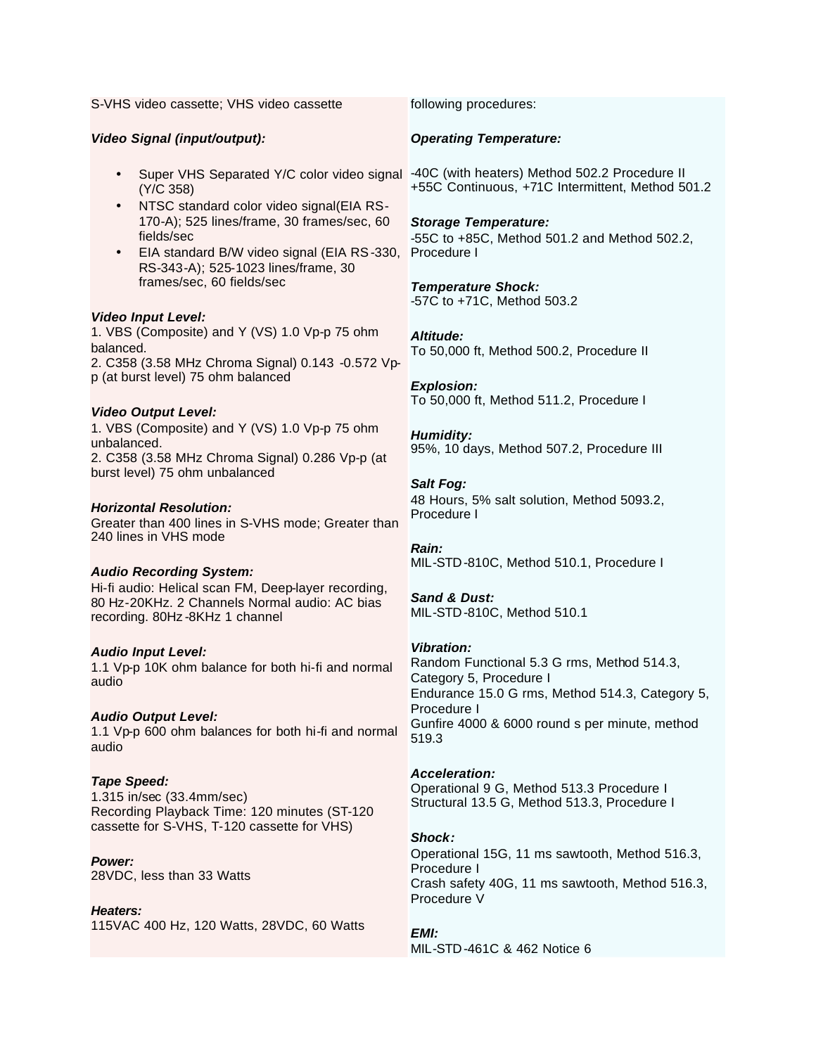S-VHS video cassette; VHS video cassette

#### *Video Signal (input/output):*

- Super VHS Separated Y/C color video signal -40C (with heaters) Method 502.2 Procedure II (Y/C 358)
- NTSC standard color video signal(EIA RS-170-A); 525 lines/frame, 30 frames/sec, 60 fields/sec
- EIA standard B/W video signal (EIA RS-330, RS-343-A); 525-1023 lines/frame, 30 frames/sec, 60 fields/sec

#### *Video Input Level:*

1. VBS (Composite) and Y (VS) 1.0 Vp-p 75 ohm balanced. 2. C358 (3.58 MHz Chroma Signal) 0.143 -0.572 Vpp (at burst level) 75 ohm balanced

#### *Video Output Level:*

1. VBS (Composite) and Y (VS) 1.0 Vp-p 75 ohm unbalanced. 2. C358 (3.58 MHz Chroma Signal) 0.286 Vp-p (at burst level) 75 ohm unbalanced

#### *Horizontal Resolution:*

Greater than 400 lines in S-VHS mode; Greater than 240 lines in VHS mode

#### *Audio Recording System:*

Hi-fi audio: Helical scan FM, Deep-layer recording, 80 Hz-20KHz. 2 Channels Normal audio: AC bias recording. 80Hz -8KHz 1 channel

#### *Audio Input Level:*

1.1 Vp-p 10K ohm balance for both hi-fi and normal audio

#### *Audio Output Level:*

1.1 Vp-p 600 ohm balances for both hi-fi and normal audio

#### *Tape Speed:*

1.315 in/sec (33.4mm/sec) Recording Playback Time: 120 minutes (ST-120 cassette for S-VHS, T-120 cassette for VHS)

#### *Power:*

28VDC, less than 33 Watts

#### *Heaters:*

115VAC 400 Hz, 120 Watts, 28VDC, 60 Watts

following procedures:

#### *Operating Temperature:*

+55C Continuous, +71C Intermittent, Method 501.2

# *Storage Temperature:*

-55C to +85C, Method 501.2 and Method 502.2, Procedure I

#### *Temperature Shock:*

-57C to +71C, Method 503.2

#### *Altitude:*

To 50,000 ft, Method 500.2, Procedure II

#### *Explosion:*

To 50,000 ft, Method 511.2, Procedure I

#### *Humidity:*

95%, 10 days, Method 507.2, Procedure III

#### *Salt Fog:*

48 Hours, 5% salt solution, Method 5093.2, Procedure I

#### *Rain:* MIL-STD-810C, Method 510.1, Procedure I

### *Sand & Dust:*

MIL-STD-810C, Method 510.1

#### *Vibration:*

Random Functional 5.3 G rms, Method 514.3, Category 5, Procedure I Endurance 15.0 G rms, Method 514.3, Category 5, Procedure I Gunfire 4000 & 6000 round s per minute, method 519.3

#### *Acceleration:*

Operational 9 G, Method 513.3 Procedure I Structural 13.5 G, Method 513.3, Procedure I

#### *Shock:*

Operational 15G, 11 ms sawtooth, Method 516.3, Procedure I Crash safety 40G, 11 ms sawtooth, Method 516.3, Procedure V

#### *EMI:*

MIL-STD-461C & 462 Notice 6